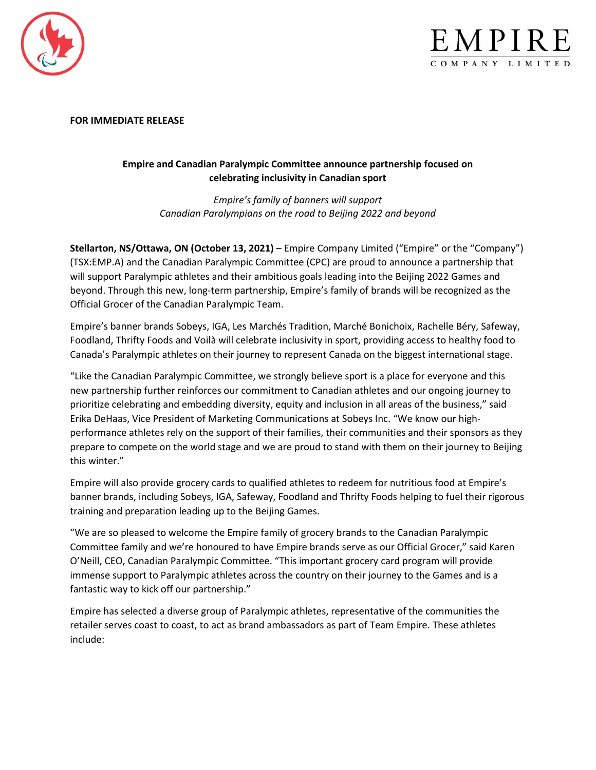



#### **FOR IMMEDIATE RELEASE**

# **Empire and Canadian Paralympic Committee announce partnership focused on celebrating inclusivity in Canadian sport**

*Empire's family of banners will support Canadian Paralympians on the road to Beijing 2022 and beyond*

**Stellarton, NS/Ottawa, ON (October 13, 2021)** – Empire Company Limited ("Empire" or the "Company") (TSX:EMP.A) and the Canadian Paralympic Committee (CPC) are proud to announce a partnership that will support Paralympic athletes and their ambitious goals leading into the Beijing 2022 Games and beyond. Through this new, long-term partnership, Empire's family of brands will be recognized as the Official Grocer of the Canadian Paralympic Team.

Empire's banner brands Sobeys, IGA, Les Marchés Tradition, Marché Bonichoix, Rachelle Béry, Safeway, Foodland, Thrifty Foods and Voilà will celebrate inclusivity in sport, providing access to healthy food to Canada's Paralympic athletes on their journey to represent Canada on the biggest international stage.

"Like the Canadian Paralympic Committee, we strongly believe sport is a place for everyone and this new partnership further reinforces our commitment to Canadian athletes and our ongoing journey to prioritize celebrating and embedding diversity, equity and inclusion in all areas of the business," said Erika DeHaas, Vice President of Marketing Communications at Sobeys Inc. "We know our highperformance athletes rely on the support of their families, their communities and their sponsors as they prepare to compete on the world stage and we are proud to stand with them on their journey to Beijing this winter."

Empire will also provide grocery cards to qualified athletes to redeem for nutritious food at Empire's banner brands, including Sobeys, IGA, Safeway, Foodland and Thrifty Foods helping to fuel their rigorous training and preparation leading up to the Beijing Games.

"We are so pleased to welcome the Empire family of grocery brands to the Canadian Paralympic Committee family and we're honoured to have Empire brands serve as our Official Grocer," said Karen O'Neill, CEO, Canadian Paralympic Committee. "This important grocery card program will provide immense support to Paralympic athletes across the country on their journey to the Games and is a fantastic way to kick off our partnership."

Empire has selected a diverse group of Paralympic athletes, representative of the communities the retailer serves coast to coast, to act as brand ambassadors as part of Team Empire. These athletes include: